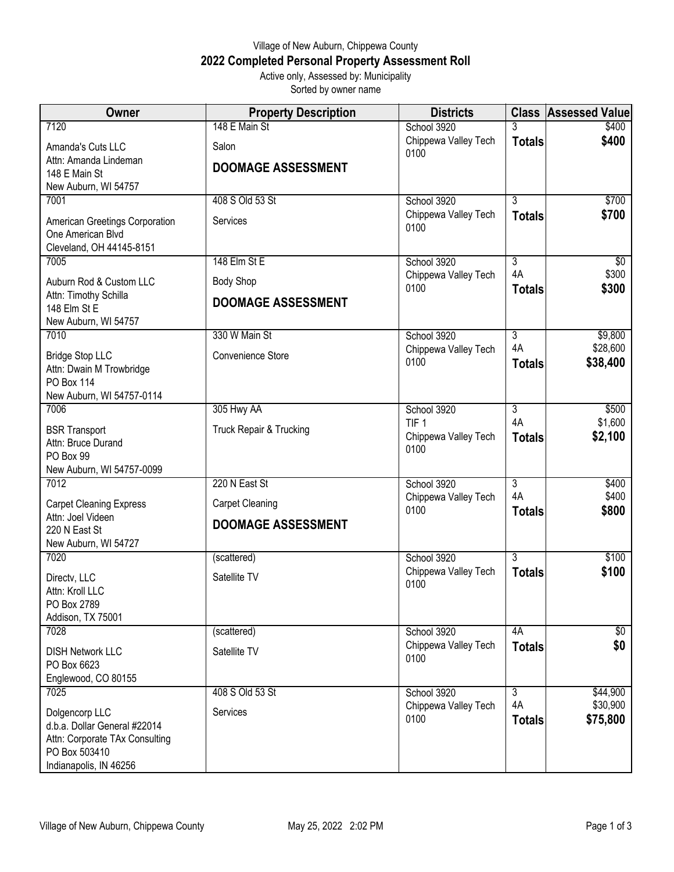## Village of New Auburn, Chippewa County **2022 Completed Personal Property Assessment Roll** Active only, Assessed by: Municipality

Sorted by owner name

| <b>Owner</b>                                                                    | <b>Property Description</b> | <b>Districts</b>                    |                      | <b>Class Assessed Value</b> |
|---------------------------------------------------------------------------------|-----------------------------|-------------------------------------|----------------------|-----------------------------|
| 7120                                                                            | 148 E Main St               | School 3920                         |                      | \$400                       |
| Amanda's Cuts LLC                                                               | Salon                       | Chippewa Valley Tech<br>0100        | <b>Totals</b>        | \$400                       |
| Attn: Amanda Lindeman                                                           | <b>DOOMAGE ASSESSMENT</b>   |                                     |                      |                             |
| 148 E Main St                                                                   |                             |                                     |                      |                             |
| New Auburn, WI 54757<br>7001                                                    | 408 S Old 53 St             | School 3920                         | $\overline{3}$       | \$700                       |
|                                                                                 |                             | Chippewa Valley Tech                | <b>Totals</b>        | \$700                       |
| American Greetings Corporation<br>One American Blvd<br>Cleveland, OH 44145-8151 | Services                    | 0100                                |                      |                             |
| 7005                                                                            | 148 Elm St E                | School 3920                         | $\overline{3}$       | $\overline{50}$             |
| Auburn Rod & Custom LLC                                                         | <b>Body Shop</b>            | Chippewa Valley Tech<br>0100        | 4A<br><b>Totals</b>  | \$300<br>\$300              |
| Attn: Timothy Schilla<br>148 Elm St E                                           | <b>DOOMAGE ASSESSMENT</b>   |                                     |                      |                             |
| New Auburn, WI 54757                                                            |                             |                                     |                      |                             |
| 7010                                                                            | 330 W Main St               | School 3920                         | $\overline{3}$       | \$9,800                     |
| <b>Bridge Stop LLC</b>                                                          | Convenience Store           | Chippewa Valley Tech<br>0100        | 4A<br><b>Totals</b>  | \$28,600<br>\$38,400        |
| Attn: Dwain M Trowbridge<br><b>PO Box 114</b>                                   |                             |                                     |                      |                             |
| New Auburn, WI 54757-0114                                                       |                             |                                     |                      |                             |
| 7006                                                                            | 305 Hwy AA                  | School 3920                         | $\overline{3}$       | \$500                       |
| <b>BSR Transport</b>                                                            | Truck Repair & Trucking     | TIF <sub>1</sub>                    | 4A                   | \$1,600                     |
| Attn: Bruce Durand                                                              |                             | Chippewa Valley Tech<br>0100        | <b>Totals</b>        | \$2,100                     |
| PO Box 99                                                                       |                             |                                     |                      |                             |
| New Auburn, WI 54757-0099<br>7012                                               | 220 N East St               | School 3920                         | $\overline{3}$       | \$400                       |
|                                                                                 |                             | Chippewa Valley Tech                | 4A                   | \$400                       |
| <b>Carpet Cleaning Express</b><br>Attn: Joel Videen                             | <b>Carpet Cleaning</b>      | 0100                                | <b>Totals</b>        | \$800                       |
| 220 N East St                                                                   | <b>DOOMAGE ASSESSMENT</b>   |                                     |                      |                             |
| New Auburn, WI 54727                                                            |                             |                                     |                      |                             |
| 7020                                                                            | (scattered)                 | School 3920                         | $\overline{3}$       | \$100                       |
| Directv, LLC<br>Attn: Kroll LLC                                                 | Satellite TV                | Chippewa Valley Tech<br>0100        | <b>Totals</b>        | \$100                       |
| PO Box 2789                                                                     |                             |                                     |                      |                             |
| Addison, TX 75001                                                               |                             |                                     |                      |                             |
| 7028                                                                            | (scattered)                 | School 3920                         | 4A                   | $\overline{50}$             |
| <b>DISH Network LLC</b>                                                         | Satellite TV                | Chippewa Valley Tech<br>0100        | <b>Totals</b>        | \$0                         |
| PO Box 6623                                                                     |                             |                                     |                      |                             |
| Englewood, CO 80155                                                             |                             |                                     |                      |                             |
| 7025                                                                            | 408 S Old 53 St             | School 3920<br>Chippewa Valley Tech | $\overline{3}$<br>4A | \$44,900<br>\$30,900        |
| Dolgencorp LLC                                                                  | Services                    | 0100                                | <b>Totals</b>        | \$75,800                    |
| d.b.a. Dollar General #22014<br>Attn: Corporate TAx Consulting                  |                             |                                     |                      |                             |
| PO Box 503410                                                                   |                             |                                     |                      |                             |
| Indianapolis, IN 46256                                                          |                             |                                     |                      |                             |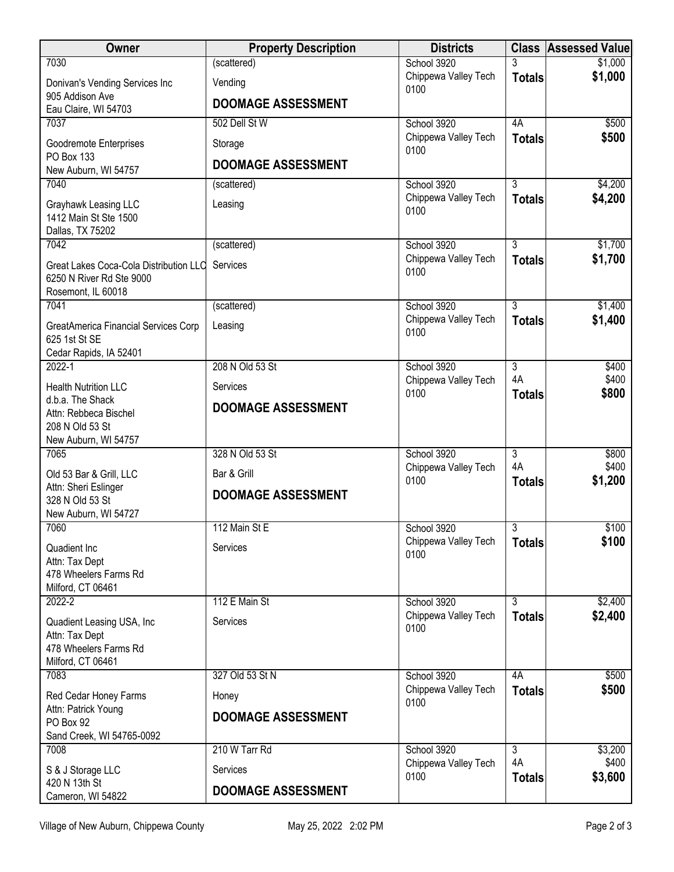| Owner                                           | <b>Property Description</b> | <b>Districts</b>                    |                     | <b>Class Assessed Value</b> |
|-------------------------------------------------|-----------------------------|-------------------------------------|---------------------|-----------------------------|
| 7030                                            | (scattered)                 | School 3920                         |                     | \$1,000                     |
| Donivan's Vending Services Inc                  | Vending                     | Chippewa Valley Tech<br>0100        | <b>Totals</b>       | \$1,000                     |
| 905 Addison Ave                                 | <b>DOOMAGE ASSESSMENT</b>   |                                     |                     |                             |
| Eau Claire, WI 54703                            |                             |                                     | 4A                  |                             |
| 7037                                            | 502 Dell St W               | School 3920<br>Chippewa Valley Tech | <b>Totals</b>       | \$500<br>\$500              |
| Goodremote Enterprises                          | Storage                     | 0100                                |                     |                             |
| PO Box 133<br>New Auburn, WI 54757              | <b>DOOMAGE ASSESSMENT</b>   |                                     |                     |                             |
| 7040                                            | (scattered)                 | School 3920                         | 3                   | \$4,200                     |
| Grayhawk Leasing LLC                            | Leasing                     | Chippewa Valley Tech                | <b>Totals</b>       | \$4,200                     |
| 1412 Main St Ste 1500                           |                             | 0100                                |                     |                             |
| Dallas, TX 75202                                |                             |                                     |                     |                             |
| 7042                                            | (scattered)                 | School 3920                         | $\overline{3}$      | \$1,700                     |
| Great Lakes Coca-Cola Distribution LLC          | Services                    | Chippewa Valley Tech<br>0100        | <b>Totals</b>       | \$1,700                     |
| 6250 N River Rd Ste 9000                        |                             |                                     |                     |                             |
| Rosemont, IL 60018                              |                             |                                     |                     |                             |
| 7041                                            | (scattered)                 | School 3920<br>Chippewa Valley Tech | 3<br><b>Totals</b>  | \$1,400<br>\$1,400          |
| GreatAmerica Financial Services Corp            | Leasing                     | 0100                                |                     |                             |
| 625 1st St SE<br>Cedar Rapids, IA 52401         |                             |                                     |                     |                             |
| $2022 - 1$                                      | 208 N Old 53 St             | School 3920                         | $\overline{3}$      | \$400                       |
| <b>Health Nutrition LLC</b>                     | Services                    | Chippewa Valley Tech                | 4A<br><b>Totals</b> | \$400<br>\$800              |
| d.b.a. The Shack                                |                             | 0100                                |                     |                             |
| Attn: Rebbeca Bischel                           | <b>DOOMAGE ASSESSMENT</b>   |                                     |                     |                             |
| 208 N Old 53 St                                 |                             |                                     |                     |                             |
| New Auburn, WI 54757<br>7065                    | 328 N Old 53 St             | School 3920                         | $\overline{3}$      | \$800                       |
|                                                 |                             | Chippewa Valley Tech                | 4A                  | \$400                       |
| Old 53 Bar & Grill, LLC<br>Attn: Sheri Eslinger | Bar & Grill                 | 0100                                | <b>Totals</b>       | \$1,200                     |
| 328 N Old 53 St                                 | <b>DOOMAGE ASSESSMENT</b>   |                                     |                     |                             |
| New Auburn, WI 54727                            |                             |                                     |                     |                             |
| 7060                                            | 112 Main St E               | School 3920                         | 3                   | \$100                       |
| Quadient Inc                                    | Services                    | Chippewa Valley Tech<br>0100        | <b>Totals</b>       | \$100                       |
| Attn: Tax Dept                                  |                             |                                     |                     |                             |
| 478 Wheelers Farms Rd<br>Milford, CT 06461      |                             |                                     |                     |                             |
| 2022-2                                          | 112 E Main St               | School 3920                         | 3                   | \$2,400                     |
|                                                 | Services                    | Chippewa Valley Tech                | <b>Totals</b>       | \$2,400                     |
| Quadient Leasing USA, Inc.<br>Attn: Tax Dept    |                             | 0100                                |                     |                             |
| 478 Wheelers Farms Rd                           |                             |                                     |                     |                             |
| Milford, CT 06461                               |                             |                                     |                     |                             |
| 7083                                            | 327 Old 53 St N             | School 3920                         | 4A                  | \$500                       |
| Red Cedar Honey Farms                           | Honey                       | Chippewa Valley Tech<br>0100        | <b>Totals</b>       | \$500                       |
| Attn: Patrick Young                             | <b>DOOMAGE ASSESSMENT</b>   |                                     |                     |                             |
| PO Box 92<br>Sand Creek, WI 54765-0092          |                             |                                     |                     |                             |
| 7008                                            | 210 W Tarr Rd               | School 3920                         | $\overline{3}$      | \$3,200                     |
| S & J Storage LLC                               | Services                    | Chippewa Valley Tech                | 4A                  | \$400                       |
| 420 N 13th St                                   |                             | 0100                                | <b>Totals</b>       | \$3,600                     |
| Cameron, WI 54822                               | <b>DOOMAGE ASSESSMENT</b>   |                                     |                     |                             |